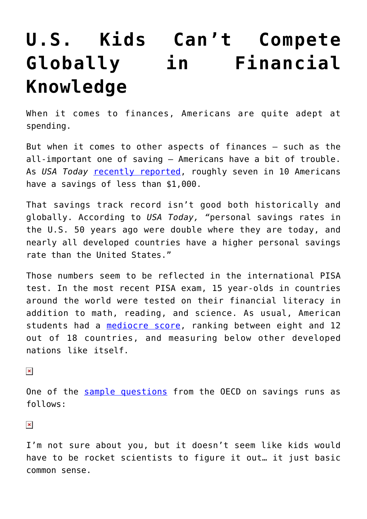## **[U.S. Kids Can't Compete](https://intellectualtakeout.org/2016/10/u-s-kids-cant-compete-globally-in-financial-knowledge/) [Globally in Financial](https://intellectualtakeout.org/2016/10/u-s-kids-cant-compete-globally-in-financial-knowledge/) [Knowledge](https://intellectualtakeout.org/2016/10/u-s-kids-cant-compete-globally-in-financial-knowledge/)**

When it comes to finances, Americans are quite adept at spending.

But when it comes to other aspects of finances – such as the all-important one of saving – Americans have a bit of trouble. As *USA Today* [recently reported](http://www.usatoday.com/story/money/personalfinance/2016/10/09/savings-study/91083712/), roughly seven in 10 Americans have a savings of less than \$1,000.

That savings track record isn't good both historically and globally. According to *USA Today, "*personal savings rates in the U.S. 50 years ago were double where they are today, and nearly all developed countries have a higher personal savings rate than the United States."

Those numbers seem to be reflected in the international PISA test. In the most recent PISA exam, 15 year-olds in countries around the world were tested on their financial literacy in addition to math, reading, and science. As usual, American students had a [mediocre score](http://www.cnbc.com/2014/07/08/teen-financial-literacy-test-country-with-most-money-smarts-not-the-us.html), ranking between eight and 12 out of 18 countries, and measuring below other developed nations like itself.

 $\pmb{\times}$ 

One of the [sample questions](http://www.oecd.org/finance/financial-education/PISA2012FrameworkLiteracy.pdf) from the OECD on savings runs as follows:

 $\pmb{\times}$ 

I'm not sure about you, but it doesn't seem like kids would have to be rocket scientists to figure it out… it just basic common sense.